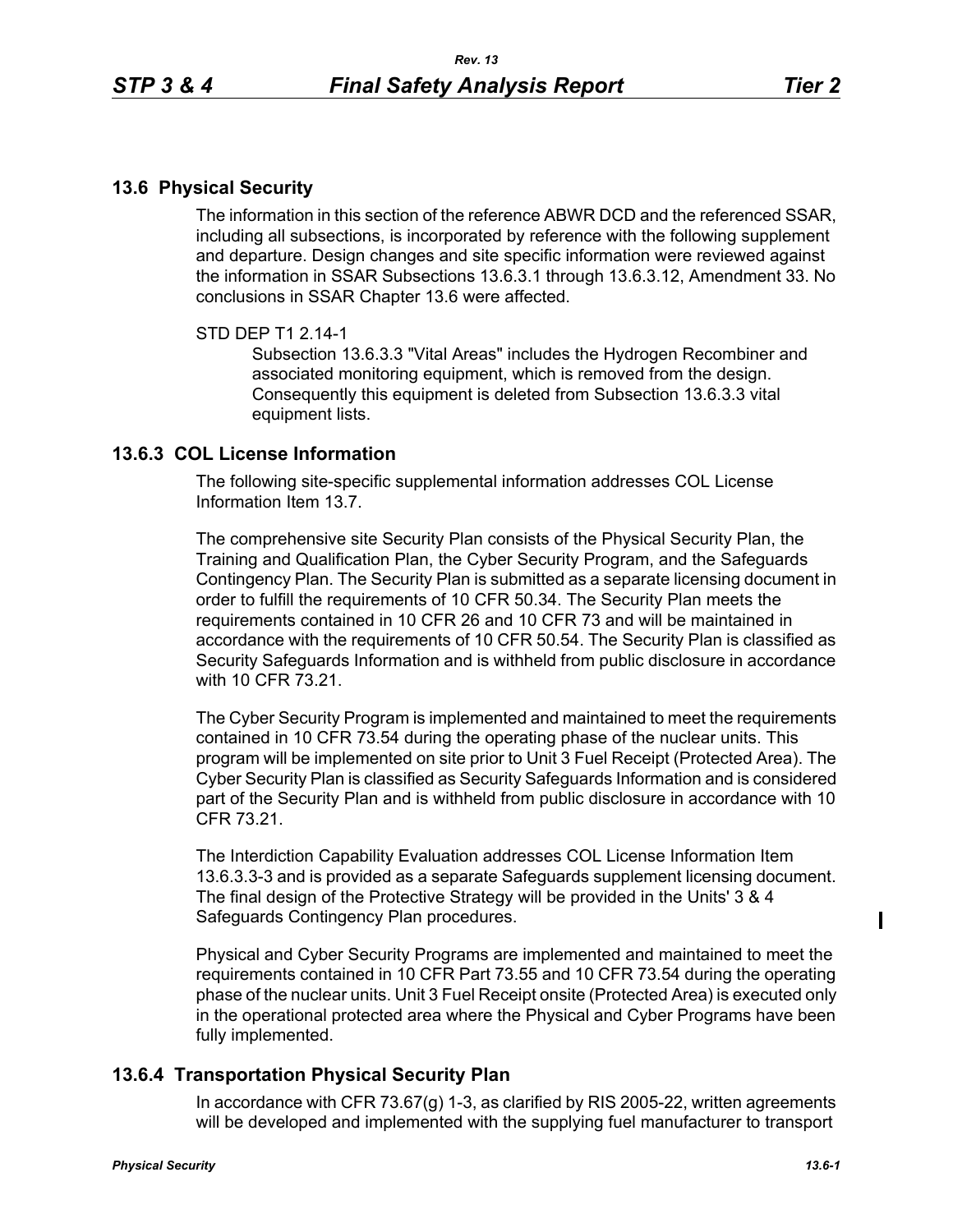## **13.6 Physical Security**

The information in this section of the reference ABWR DCD and the referenced SSAR, including all subsections, is incorporated by reference with the following supplement and departure. Design changes and site specific information were reviewed against the information in SSAR Subsections 13.6.3.1 through 13.6.3.12, Amendment 33. No conclusions in SSAR Chapter 13.6 were affected.

## STD DEP T1 2.14-1

Subsection 13.6.3.3 "Vital Areas" includes the Hydrogen Recombiner and associated monitoring equipment, which is removed from the design. Consequently this equipment is deleted from Subsection 13.6.3.3 vital equipment lists.

## **13.6.3 COL License Information**

The following site-specific supplemental information addresses COL License Information Item 13.7.

The comprehensive site Security Plan consists of the Physical Security Plan, the Training and Qualification Plan, the Cyber Security Program, and the Safeguards Contingency Plan. The Security Plan is submitted as a separate licensing document in order to fulfill the requirements of 10 CFR 50.34. The Security Plan meets the requirements contained in 10 CFR 26 and 10 CFR 73 and will be maintained in accordance with the requirements of 10 CFR 50.54. The Security Plan is classified as Security Safeguards Information and is withheld from public disclosure in accordance with 10 CFR 73 21

The Cyber Security Program is implemented and maintained to meet the requirements contained in 10 CFR 73.54 during the operating phase of the nuclear units. This program will be implemented on site prior to Unit 3 Fuel Receipt (Protected Area). The Cyber Security Plan is classified as Security Safeguards Information and is considered part of the Security Plan and is withheld from public disclosure in accordance with 10 CFR 73.21.

The Interdiction Capability Evaluation addresses COL License Information Item 13.6.3.3-3 and is provided as a separate Safeguards supplement licensing document. The final design of the Protective Strategy will be provided in the Units' 3 & 4 Safeguards Contingency Plan procedures.

Physical and Cyber Security Programs are implemented and maintained to meet the requirements contained in 10 CFR Part 73.55 and 10 CFR 73.54 during the operating phase of the nuclear units. Unit 3 Fuel Receipt onsite (Protected Area) is executed only in the operational protected area where the Physical and Cyber Programs have been fully implemented.

## **13.6.4 Transportation Physical Security Plan**

In accordance with CFR 73.67(g) 1-3, as clarified by RIS 2005-22, written agreements will be developed and implemented with the supplying fuel manufacturer to transport

I